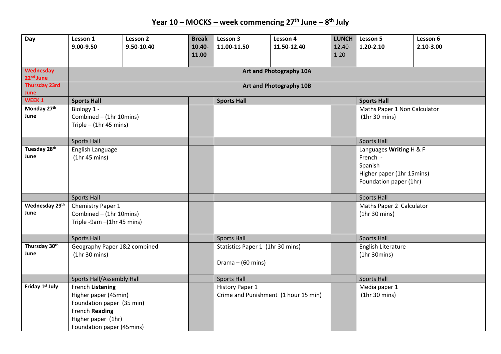**Year 10 – MOCKS – week commencing 27th June – 8 th July** 

| Day                                 | Lesson 1                         | Lesson 2   | <b>Break</b> | Lesson 3                             | Lesson 4    | LUNCH  | Lesson 5                     | Lesson 6  |  |
|-------------------------------------|----------------------------------|------------|--------------|--------------------------------------|-------------|--------|------------------------------|-----------|--|
|                                     | 9.00-9.50                        | 9.50-10.40 | 10.40-       | 11.00-11.50                          | 11.50-12.40 | 12.40- | 1.20-2.10                    | 2.10-3.00 |  |
|                                     |                                  |            | 11.00        |                                      |             | 1.20   |                              |           |  |
|                                     |                                  |            |              |                                      |             |        |                              |           |  |
| Wednesday<br>22 <sup>nd</sup> June  | Art and Photography 10A          |            |              |                                      |             |        |                              |           |  |
| <b>Thursday 23rd</b><br><b>June</b> | Art and Photography 10B          |            |              |                                      |             |        |                              |           |  |
| WEEK <sub>1</sub>                   | <b>Sports Hall</b>               |            |              | <b>Sports Hall</b>                   |             |        | <b>Sports Hall</b>           |           |  |
| Monday 27th                         | Biology 1 -                      |            |              |                                      |             |        | Maths Paper 1 Non Calculator |           |  |
| June                                | Combined - (1hr 10mins)          |            |              |                                      |             |        | (1hr 30 mins)                |           |  |
|                                     | Triple $-$ (1hr 45 mins)         |            |              |                                      |             |        |                              |           |  |
|                                     |                                  |            |              |                                      |             |        |                              |           |  |
|                                     | <b>Sports Hall</b>               |            |              |                                      |             |        | <b>Sports Hall</b>           |           |  |
| Tuesday 28th                        | English Language                 |            |              |                                      |             |        | Languages Writing H & F      |           |  |
| June                                | (1hr 45 mins)                    |            |              |                                      |             |        | French -                     |           |  |
|                                     |                                  |            |              |                                      |             |        | Spanish                      |           |  |
|                                     |                                  |            |              |                                      |             |        | Higher paper (1hr 15mins)    |           |  |
|                                     |                                  |            |              |                                      |             |        | Foundation paper (1hr)       |           |  |
|                                     | <b>Sports Hall</b>               |            |              |                                      |             |        | <b>Sports Hall</b>           |           |  |
| Wednesday 29th                      | Chemistry Paper 1                |            |              |                                      |             |        | Maths Paper 2 Calculator     |           |  |
| June                                | Combined - (1hr 10mins)          |            |              |                                      |             |        | (1hr 30 mins)                |           |  |
|                                     | Triple -9am -(1hr 45 mins)       |            |              |                                      |             |        |                              |           |  |
|                                     |                                  |            |              |                                      |             |        |                              |           |  |
|                                     | <b>Sports Hall</b>               |            |              | <b>Sports Hall</b>                   |             |        | <b>Sports Hall</b>           |           |  |
| Thursday 30th                       | Geography Paper 1&2 combined     |            |              | Statistics Paper 1 (1hr 30 mins)     |             |        | English Literature           |           |  |
| June                                | (1hr 30 mins)                    |            |              |                                      |             |        | (1hr 30 mins)                |           |  |
|                                     |                                  |            |              | Drama $-$ (60 mins)                  |             |        |                              |           |  |
|                                     |                                  |            |              |                                      |             |        |                              |           |  |
|                                     | <b>Sports Hall/Assembly Hall</b> |            |              | <b>Sports Hall</b>                   |             |        | <b>Sports Hall</b>           |           |  |
| Friday 1st July                     | French Listening                 |            |              | History Paper 1                      |             |        | Media paper 1                |           |  |
|                                     | Higher paper (45min)             |            |              | Crime and Punishment (1 hour 15 min) |             |        | (1hr 30 mins)                |           |  |
|                                     | Foundation paper (35 min)        |            |              |                                      |             |        |                              |           |  |
|                                     | French Reading                   |            |              |                                      |             |        |                              |           |  |
|                                     | Higher paper (1hr)               |            |              |                                      |             |        |                              |           |  |
|                                     | Foundation paper (45mins)        |            |              |                                      |             |        |                              |           |  |